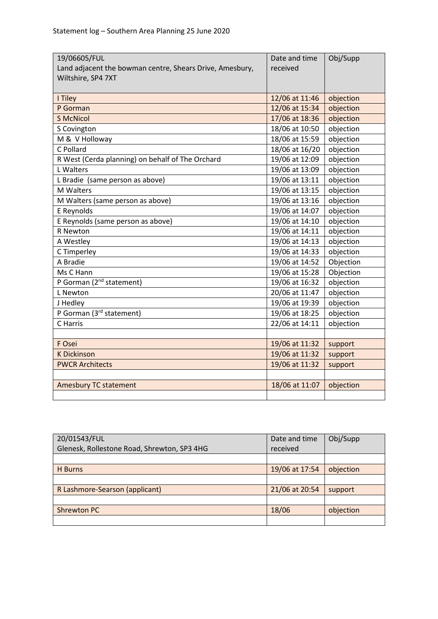| 19/06605/FUL<br>Land adjacent the bowman centre, Shears Drive, Amesbury, | Date and time<br>received | Obj/Supp  |
|--------------------------------------------------------------------------|---------------------------|-----------|
| Wiltshire, SP4 7XT                                                       |                           |           |
| I Tiley                                                                  | 12/06 at 11:46            | objection |
| P Gorman                                                                 | 12/06 at 15:34            | objection |
| <b>S McNicol</b>                                                         | 17/06 at 18:36            | objection |
| S Covington                                                              | 18/06 at 10:50            | objection |
| M & V Holloway                                                           | 18/06 at 15:59            | objection |
| C Pollard                                                                | 18/06 at 16/20            | objection |
| R West (Cerda planning) on behalf of The Orchard                         | 19/06 at 12:09            | objection |
| L Walters                                                                | 19/06 at 13:09            | objection |
| L Bradie (same person as above)                                          | 19/06 at 13:11            | objection |
| M Walters                                                                | 19/06 at 13:15            | objection |
| M Walters (same person as above)                                         | 19/06 at 13:16            | objection |
| E Reynolds                                                               | 19/06 at 14:07            | objection |
| E Reynolds (same person as above)                                        | 19/06 at 14:10            | objection |
| R Newton                                                                 | 19/06 at 14:11            | objection |
| A Westley                                                                | 19/06 at 14:13            | objection |
| C Timperley                                                              | 19/06 at 14:33            | objection |
| A Bradie                                                                 | 19/06 at 14:52            | Objection |
| Ms C Hann                                                                | 19/06 at 15:28            | Objection |
| P Gorman (2 <sup>nd</sup> statement)                                     | 19/06 at 16:32            | objection |
| L Newton                                                                 | 20/06 at 11:47            | objection |
| J Hedley                                                                 | 19/06 at 19:39            | objection |
| P Gorman (3rd statement)                                                 | 19/06 at 18:25            | objection |
| C Harris                                                                 | 22/06 at 14:11            | objection |
|                                                                          |                           |           |
| F Osei                                                                   | 19/06 at 11:32            | support   |
| <b>K Dickinson</b>                                                       | 19/06 at 11:32            | support   |
| <b>PWCR Architects</b>                                                   | 19/06 at 11:32            | support   |
|                                                                          |                           |           |
| <b>Amesbury TC statement</b>                                             | 18/06 at 11:07            | objection |
|                                                                          |                           |           |

| 20/01543/FUL                                | Date and time  | Obj/Supp  |
|---------------------------------------------|----------------|-----------|
| Glenesk, Rollestone Road, Shrewton, SP3 4HG | received       |           |
|                                             |                |           |
| H Burns                                     | 19/06 at 17:54 | objection |
|                                             |                |           |
| R Lashmore-Searson (applicant)              | 21/06 at 20:54 | support   |
|                                             |                |           |
| <b>Shrewton PC</b>                          | 18/06          | objection |
|                                             |                |           |